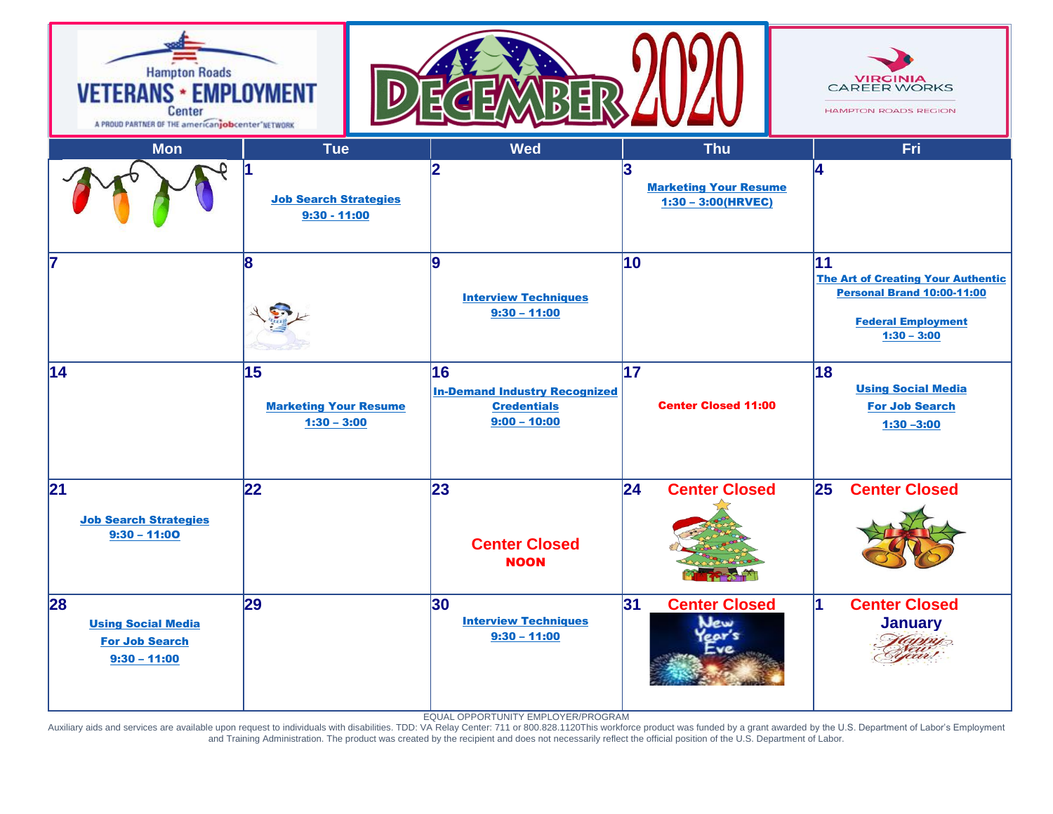

EQUAL OPPORTUNITY EMPLOYER/PROGRAM

Auxiliary aids and services are available upon request to individuals with disabilities. TDD: VA Relay Center: 711 or 800.828.1120This workforce product was funded by a grant awarded by the U.S. Department of Labor's Emplo and Training Administration. The product was created by the recipient and does not necessarily reflect the official position of the U.S. Department of Labor.